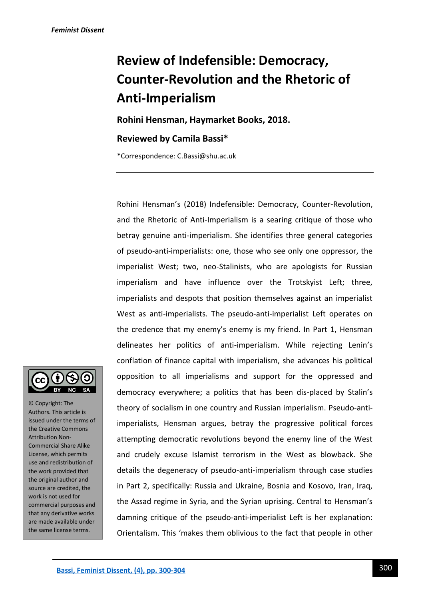# **Review of Indefensible: Democracy, Counter-Revolution and the Rhetoric of Anti-Imperialism**

**Rohini Hensman, Haymarket Books, 2018.**

## **Reviewed by Camila Bassi\***

\*Correspondence: C.Bassi@shu.ac.uk

Rohini Hensman's (2018) Indefensible: Democracy, Counter-Revolution, and the Rhetoric of Anti-Imperialism is a searing critique of those who betray genuine anti-imperialism. She identifies three general categories of pseudo-anti-imperialists: one, those who see only one oppressor, the imperialist West; two, neo-Stalinists, who are apologists for Russian imperialism and have influence over the Trotskyist Left; three, imperialists and despots that position themselves against an imperialist West as anti-imperialists. The pseudo-anti-imperialist Left operates on the credence that my enemy's enemy is my friend. In Part 1, Hensman delineates her politics of anti-imperialism. While rejecting Lenin's conflation of finance capital with imperialism, she advances his political opposition to all imperialisms and support for the oppressed and democracy everywhere; a politics that has been dis-placed by Stalin's theory of socialism in one country and Russian imperialism. Pseudo-antiimperialists, Hensman argues, betray the progressive political forces attempting democratic revolutions beyond the enemy line of the West and crudely excuse Islamist terrorism in the West as blowback. She details the degeneracy of pseudo-anti-imperialism through case studies in Part 2, specifically: Russia and Ukraine, Bosnia and Kosovo, Iran, Iraq, the Assad regime in Syria, and the Syrian uprising. Central to Hensman's damning critique of the pseudo-anti-imperialist Left is her explanation: Orientalism. This 'makes them oblivious to the fact that people in other



© Copyright: The Authors. This article is issued under the terms of the Creative Commons Attribution Non-Commercial Share Alike License, which permits use and redistribution of the work provided that the original author and source are credited, the work is not used for commercial purposes and that any derivative works are made available under the same license terms.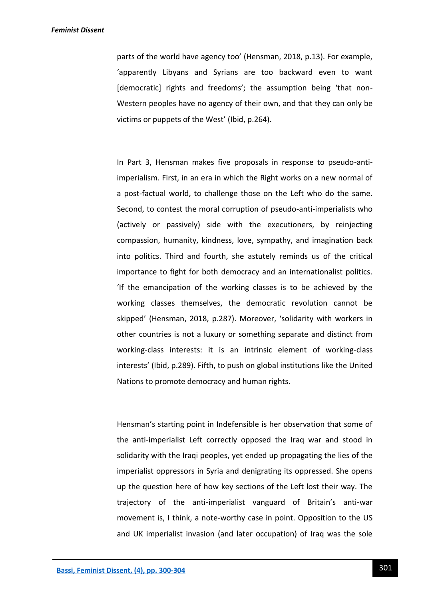#### *Feminist Dissent*

parts of the world have agency too' (Hensman, 2018, p.13). For example, 'apparently Libyans and Syrians are too backward even to want [democratic] rights and freedoms'; the assumption being 'that non-Western peoples have no agency of their own, and that they can only be victims or puppets of the West' (Ibid, p.264).

In Part 3, Hensman makes five proposals in response to pseudo-antiimperialism. First, in an era in which the Right works on a new normal of a post-factual world, to challenge those on the Left who do the same. Second, to contest the moral corruption of pseudo-anti-imperialists who (actively or passively) side with the executioners, by reinjecting compassion, humanity, kindness, love, sympathy, and imagination back into politics. Third and fourth, she astutely reminds us of the critical importance to fight for both democracy and an internationalist politics. 'If the emancipation of the working classes is to be achieved by the working classes themselves, the democratic revolution cannot be skipped' (Hensman, 2018, p.287). Moreover, 'solidarity with workers in other countries is not a luxury or something separate and distinct from working-class interests: it is an intrinsic element of working-class interests' (Ibid, p.289). Fifth, to push on global institutions like the United Nations to promote democracy and human rights.

Hensman's starting point in Indefensible is her observation that some of the anti-imperialist Left correctly opposed the Iraq war and stood in solidarity with the Iraqi peoples, yet ended up propagating the lies of the imperialist oppressors in Syria and denigrating its oppressed. She opens up the question here of how key sections of the Left lost their way. The trajectory of the anti-imperialist vanguard of Britain's anti-war movement is, I think, a note-worthy case in point. Opposition to the US and UK imperialist invasion (and later occupation) of Iraq was the sole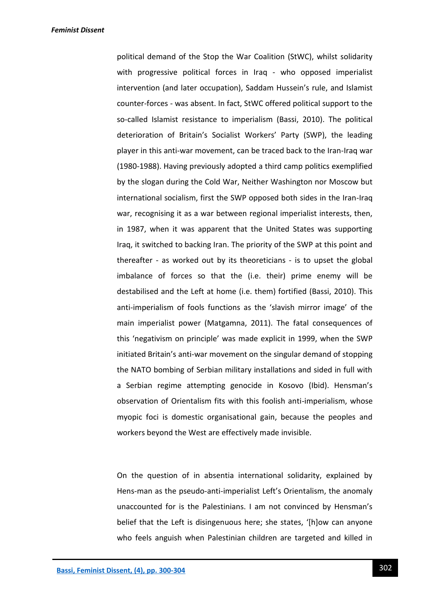political demand of the Stop the War Coalition (StWC), whilst solidarity with progressive political forces in Iraq - who opposed imperialist intervention (and later occupation), Saddam Hussein's rule, and Islamist counter-forces - was absent. In fact, StWC offered political support to the so-called Islamist resistance to imperialism (Bassi, 2010). The political deterioration of Britain's Socialist Workers' Party (SWP), the leading player in this anti-war movement, can be traced back to the Iran-Iraq war (1980-1988). Having previously adopted a third camp politics exemplified by the slogan during the Cold War, Neither Washington nor Moscow but international socialism, first the SWP opposed both sides in the Iran-Iraq war, recognising it as a war between regional imperialist interests, then, in 1987, when it was apparent that the United States was supporting Iraq, it switched to backing Iran. The priority of the SWP at this point and thereafter - as worked out by its theoreticians - is to upset the global imbalance of forces so that the (i.e. their) prime enemy will be destabilised and the Left at home (i.e. them) fortified (Bassi, 2010). This anti-imperialism of fools functions as the 'slavish mirror image' of the main imperialist power (Matgamna, 2011). The fatal consequences of this 'negativism on principle' was made explicit in 1999, when the SWP initiated Britain's anti-war movement on the singular demand of stopping the NATO bombing of Serbian military installations and sided in full with a Serbian regime attempting genocide in Kosovo (Ibid). Hensman's observation of Orientalism fits with this foolish anti-imperialism, whose myopic foci is domestic organisational gain, because the peoples and workers beyond the West are effectively made invisible.

On the question of in absentia international solidarity, explained by Hens-man as the pseudo-anti-imperialist Left's Orientalism, the anomaly unaccounted for is the Palestinians. I am not convinced by Hensman's belief that the Left is disingenuous here; she states, '[h]ow can anyone who feels anguish when Palestinian children are targeted and killed in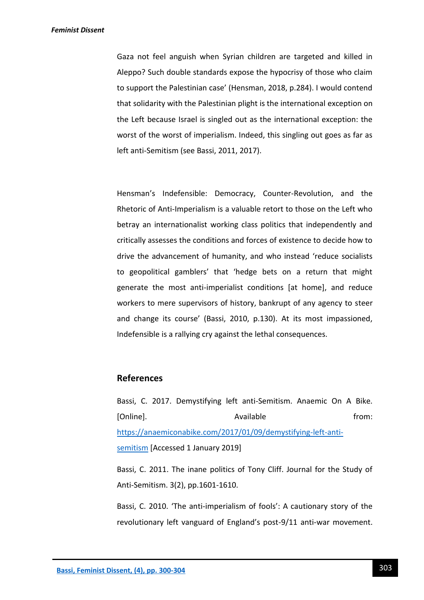Gaza not feel anguish when Syrian children are targeted and killed in Aleppo? Such double standards expose the hypocrisy of those who claim to support the Palestinian case' (Hensman, 2018, p.284). I would contend that solidarity with the Palestinian plight is the international exception on the Left because Israel is singled out as the international exception: the worst of the worst of imperialism. Indeed, this singling out goes as far as left anti-Semitism (see Bassi, 2011, 2017).

Hensman's Indefensible: Democracy, Counter-Revolution, and the Rhetoric of Anti-Imperialism is a valuable retort to those on the Left who betray an internationalist working class politics that independently and critically assesses the conditions and forces of existence to decide how to drive the advancement of humanity, and who instead 'reduce socialists to geopolitical gamblers' that 'hedge bets on a return that might generate the most anti-imperialist conditions [at home], and reduce workers to mere supervisors of history, bankrupt of any agency to steer and change its course' (Bassi, 2010, p.130). At its most impassioned, Indefensible is a rallying cry against the lethal consequences.

## **References**

Bassi, C. 2017. Demystifying left anti-Semitism. Anaemic On A Bike. [Online]. The available from: [https://anaemiconabike.com/2017/01/09/demystifying-left-anti](https://anaemiconabike.com/2017/01/09/demystifying-left-anti-semitism)[semitism](https://anaemiconabike.com/2017/01/09/demystifying-left-anti-semitism) [Accessed 1 January 2019]

Bassi, C. 2011. The inane politics of Tony Cliff. Journal for the Study of Anti-Semitism. 3(2), pp.1601-1610.

Bassi, C. 2010. 'The anti-imperialism of fools': A cautionary story of the revolutionary left vanguard of England's post-9/11 anti-war movement.